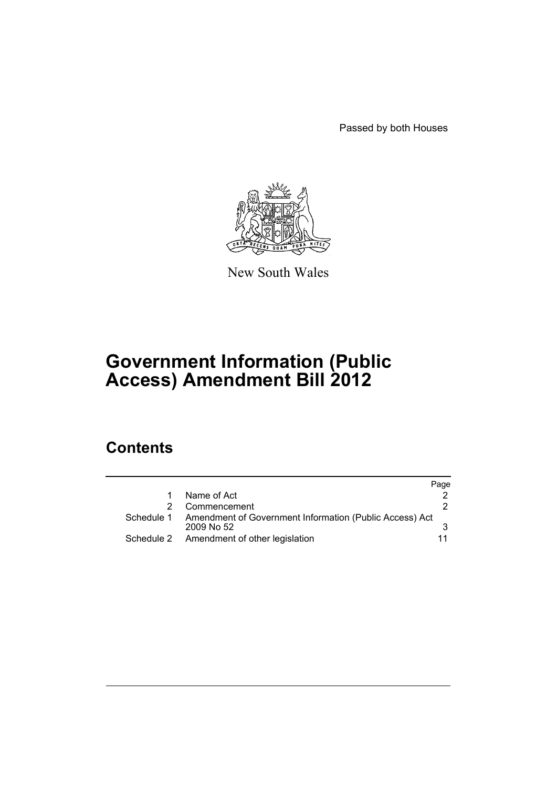Passed by both Houses



New South Wales

# **Government Information (Public Access) Amendment Bill 2012**

# **Contents**

|   |                                                                                  | Page |
|---|----------------------------------------------------------------------------------|------|
| 1 | Name of Act                                                                      |      |
|   | Commencement                                                                     |      |
|   | Schedule 1 Amendment of Government Information (Public Access) Act<br>2009 No 52 |      |
|   | Schedule 2 Amendment of other legislation                                        |      |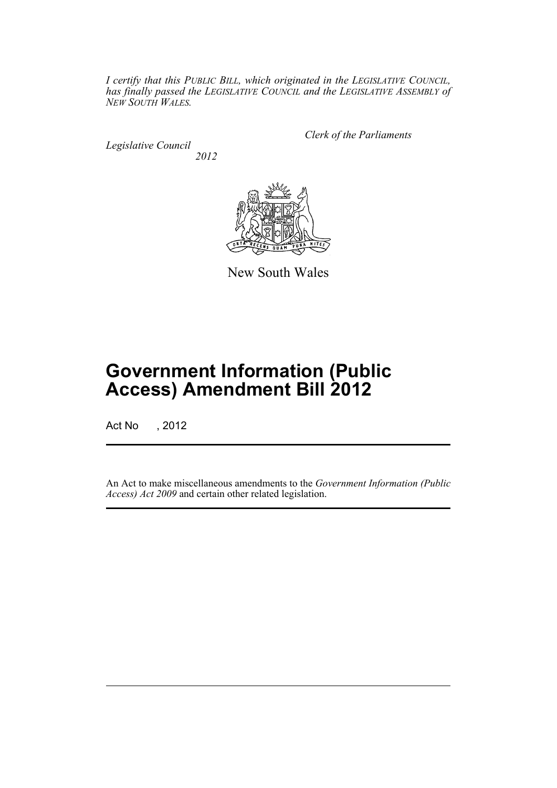*I certify that this PUBLIC BILL, which originated in the LEGISLATIVE COUNCIL, has finally passed the LEGISLATIVE COUNCIL and the LEGISLATIVE ASSEMBLY of NEW SOUTH WALES.*

*Legislative Council 2012* *Clerk of the Parliaments*



New South Wales

# **Government Information (Public Access) Amendment Bill 2012**

Act No , 2012

An Act to make miscellaneous amendments to the *Government Information (Public Access) Act 2009* and certain other related legislation.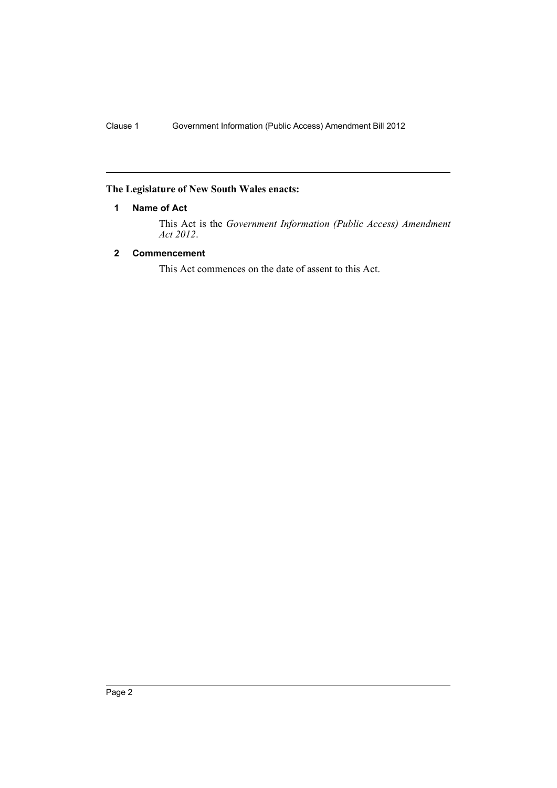# <span id="page-3-0"></span>**The Legislature of New South Wales enacts:**

# **1 Name of Act**

This Act is the *Government Information (Public Access) Amendment Act 2012*.

# <span id="page-3-1"></span>**2 Commencement**

This Act commences on the date of assent to this Act.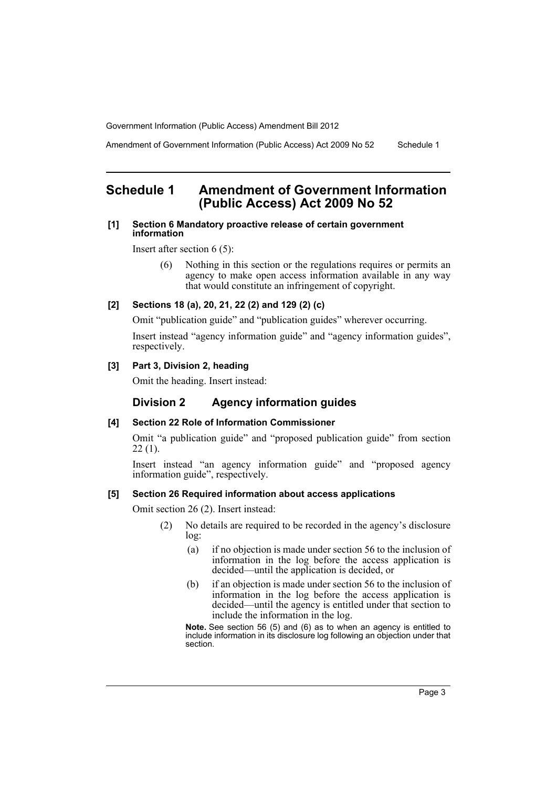Amendment of Government Information (Public Access) Act 2009 No 52 Schedule 1

# <span id="page-4-0"></span>**Schedule 1 Amendment of Government Information (Public Access) Act 2009 No 52**

### **[1] Section 6 Mandatory proactive release of certain government information**

Insert after section 6 (5):

(6) Nothing in this section or the regulations requires or permits an agency to make open access information available in any way that would constitute an infringement of copyright.

# **[2] Sections 18 (a), 20, 21, 22 (2) and 129 (2) (c)**

Omit "publication guide" and "publication guides" wherever occurring.

Insert instead "agency information guide" and "agency information guides", respectively.

# **[3] Part 3, Division 2, heading**

Omit the heading. Insert instead:

# **Division 2 Agency information guides**

# **[4] Section 22 Role of Information Commissioner**

Omit "a publication guide" and "proposed publication guide" from section  $22(1)$ .

Insert instead "an agency information guide" and "proposed agency information guide", respectively.

#### **[5] Section 26 Required information about access applications**

Omit section 26 (2). Insert instead:

- (2) No details are required to be recorded in the agency's disclosure log:
	- (a) if no objection is made under section 56 to the inclusion of information in the log before the access application is decided—until the application is decided, or
	- (b) if an objection is made under section 56 to the inclusion of information in the log before the access application is decided—until the agency is entitled under that section to include the information in the log.

**Note.** See section 56 (5) and (6) as to when an agency is entitled to include information in its disclosure log following an objection under that section.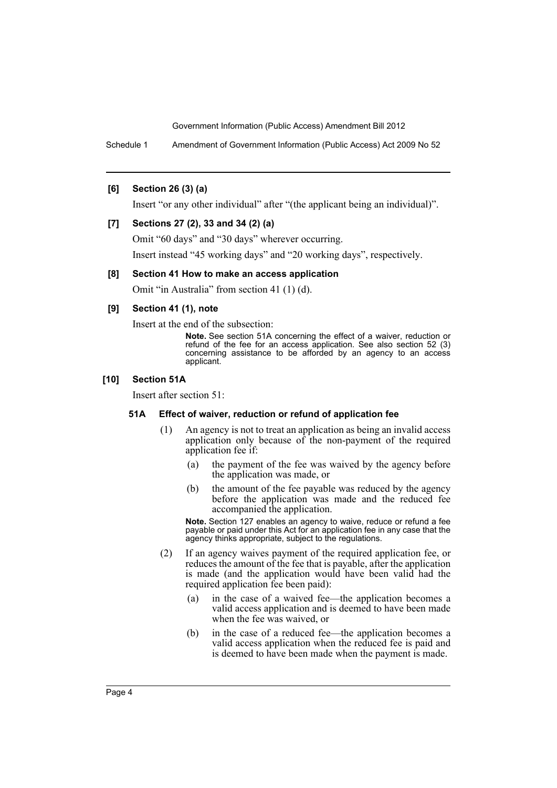Schedule 1 Amendment of Government Information (Public Access) Act 2009 No 52

# **[6] Section 26 (3) (a)**

Insert "or any other individual" after "(the applicant being an individual)".

# **[7] Sections 27 (2), 33 and 34 (2) (a)**

Omit "60 days" and "30 days" wherever occurring. Insert instead "45 working days" and "20 working days", respectively.

# **[8] Section 41 How to make an access application**

Omit "in Australia" from section 41 (1) (d).

# **[9] Section 41 (1), note**

Insert at the end of the subsection:

**Note.** See section 51A concerning the effect of a waiver, reduction or refund of the fee for an access application. See also section 52 (3) concerning assistance to be afforded by an agency to an access applicant.

#### **[10] Section 51A**

Insert after section 51:

#### **51A Effect of waiver, reduction or refund of application fee**

- (1) An agency is not to treat an application as being an invalid access application only because of the non-payment of the required application fee if:
	- (a) the payment of the fee was waived by the agency before the application was made, or
	- (b) the amount of the fee payable was reduced by the agency before the application was made and the reduced fee accompanied the application.

**Note.** Section 127 enables an agency to waive, reduce or refund a fee payable or paid under this Act for an application fee in any case that the agency thinks appropriate, subject to the regulations.

- (2) If an agency waives payment of the required application fee, or reduces the amount of the fee that is payable, after the application is made (and the application would have been valid had the required application fee been paid):
	- (a) in the case of a waived fee—the application becomes a valid access application and is deemed to have been made when the fee was waived, or
	- (b) in the case of a reduced fee—the application becomes a valid access application when the reduced fee is paid and is deemed to have been made when the payment is made.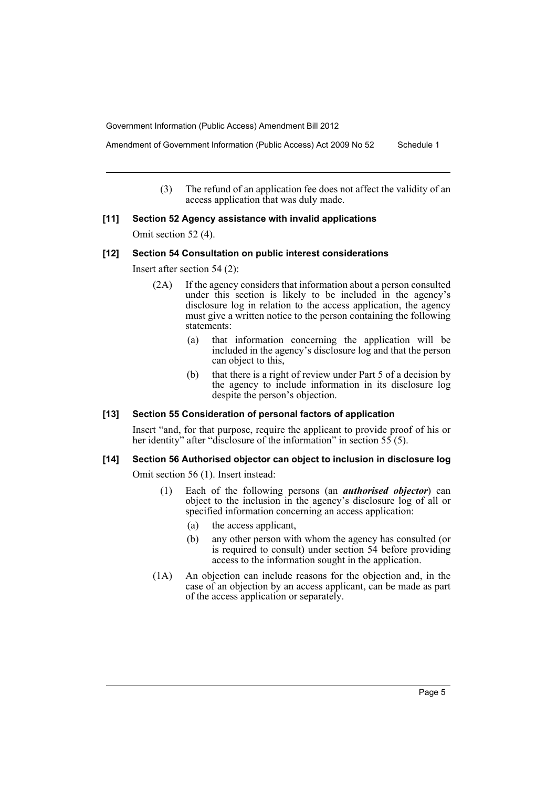Amendment of Government Information (Public Access) Act 2009 No 52 Schedule 1

(3) The refund of an application fee does not affect the validity of an access application that was duly made.

#### **[11] Section 52 Agency assistance with invalid applications**

Omit section 52 (4).

#### **[12] Section 54 Consultation on public interest considerations**

Insert after section 54 (2):

- (2A) If the agency considers that information about a person consulted under this section is likely to be included in the agency's disclosure log in relation to the access application, the agency must give a written notice to the person containing the following statements:
	- (a) that information concerning the application will be included in the agency's disclosure log and that the person can object to this,
	- (b) that there is a right of review under Part 5 of a decision by the agency to include information in its disclosure log despite the person's objection.

# **[13] Section 55 Consideration of personal factors of application**

Insert "and, for that purpose, require the applicant to provide proof of his or her identity" after "disclosure of the information" in section 55 (5).

# **[14] Section 56 Authorised objector can object to inclusion in disclosure log**

Omit section 56 (1). Insert instead:

- (1) Each of the following persons (an *authorised objector*) can object to the inclusion in the agency's disclosure log of all or specified information concerning an access application:
	- (a) the access applicant,
	- (b) any other person with whom the agency has consulted (or is required to consult) under section 54 before providing access to the information sought in the application.
- (1A) An objection can include reasons for the objection and, in the case of an objection by an access applicant, can be made as part of the access application or separately.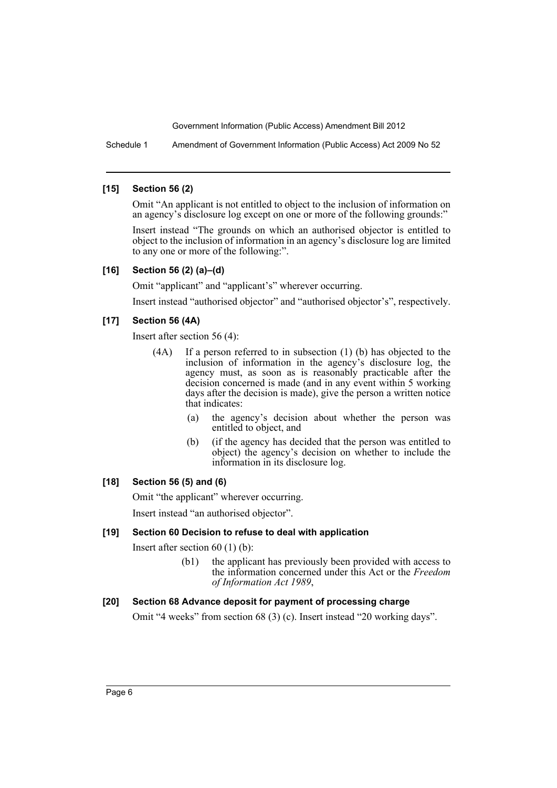Schedule 1 Amendment of Government Information (Public Access) Act 2009 No 52

### **[15] Section 56 (2)**

Omit "An applicant is not entitled to object to the inclusion of information on an agency's disclosure log except on one or more of the following grounds:"

Insert instead "The grounds on which an authorised objector is entitled to object to the inclusion of information in an agency's disclosure log are limited to any one or more of the following:".

# **[16] Section 56 (2) (a)–(d)**

Omit "applicant" and "applicant's" wherever occurring.

Insert instead "authorised objector" and "authorised objector's", respectively.

# **[17] Section 56 (4A)**

Insert after section 56 (4):

- (4A) If a person referred to in subsection (1) (b) has objected to the inclusion of information in the agency's disclosure log, the agency must, as soon as is reasonably practicable after the decision concerned is made (and in any event within 5 working days after the decision is made), give the person a written notice that indicates:
	- (a) the agency's decision about whether the person was entitled to object, and
	- (b) (if the agency has decided that the person was entitled to object) the agency's decision on whether to include the information in its disclosure log.

# **[18] Section 56 (5) and (6)**

Omit "the applicant" wherever occurring.

Insert instead "an authorised objector".

# **[19] Section 60 Decision to refuse to deal with application**

Insert after section 60 (1) (b):

(b1) the applicant has previously been provided with access to the information concerned under this Act or the *Freedom of Information Act 1989*,

# **[20] Section 68 Advance deposit for payment of processing charge**

Omit "4 weeks" from section 68 (3) (c). Insert instead "20 working days".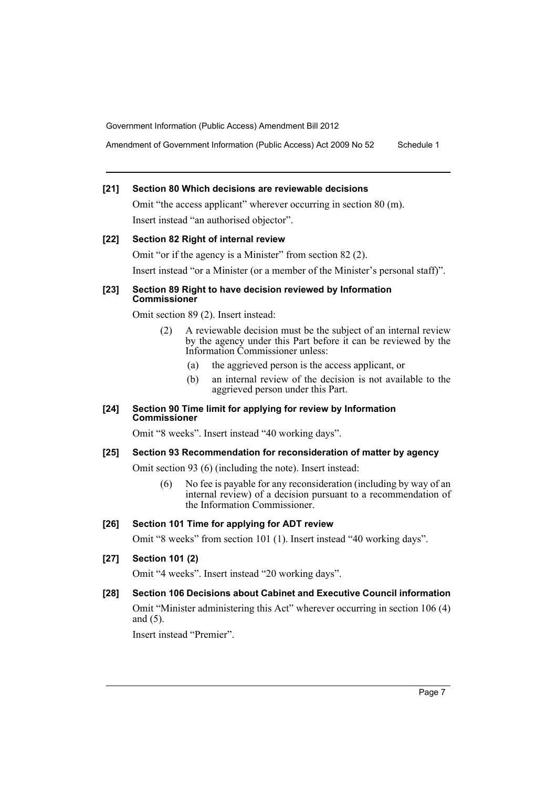Amendment of Government Information (Public Access) Act 2009 No 52 Schedule 1

# **[21] Section 80 Which decisions are reviewable decisions**

Omit "the access applicant" wherever occurring in section 80 (m). Insert instead "an authorised objector".

# **[22] Section 82 Right of internal review** Omit "or if the agency is a Minister" from section 82 (2). Insert instead "or a Minister (or a member of the Minister's personal staff)".

#### **[23] Section 89 Right to have decision reviewed by Information Commissioner**

Omit section 89 (2). Insert instead:

- (2) A reviewable decision must be the subject of an internal review by the agency under this Part before it can be reviewed by the Information Commissioner unless:
	- (a) the aggrieved person is the access applicant, or
	- (b) an internal review of the decision is not available to the aggrieved person under this Part.

#### **[24] Section 90 Time limit for applying for review by Information Commissioner**

Omit "8 weeks". Insert instead "40 working days".

# **[25] Section 93 Recommendation for reconsideration of matter by agency**

Omit section 93 (6) (including the note). Insert instead:

(6) No fee is payable for any reconsideration (including by way of an internal review) of a decision pursuant to a recommendation of the Information Commissioner.

# **[26] Section 101 Time for applying for ADT review**

Omit "8 weeks" from section 101 (1). Insert instead "40 working days".

# **[27] Section 101 (2)**

Omit "4 weeks". Insert instead "20 working days".

# **[28] Section 106 Decisions about Cabinet and Executive Council information**

Omit "Minister administering this Act" wherever occurring in section 106 (4) and (5).

Insert instead "Premier".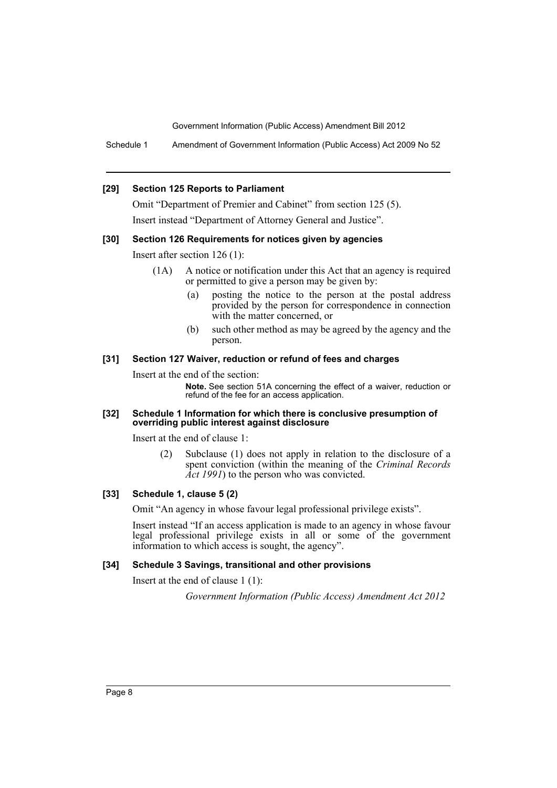Schedule 1 Amendment of Government Information (Public Access) Act 2009 No 52

#### **[29] Section 125 Reports to Parliament**

Omit "Department of Premier and Cabinet" from section 125 (5). Insert instead "Department of Attorney General and Justice".

#### **[30] Section 126 Requirements for notices given by agencies**

Insert after section 126 (1):

- (1A) A notice or notification under this Act that an agency is required or permitted to give a person may be given by:
	- (a) posting the notice to the person at the postal address provided by the person for correspondence in connection with the matter concerned, or
	- (b) such other method as may be agreed by the agency and the person.

#### **[31] Section 127 Waiver, reduction or refund of fees and charges**

Insert at the end of the section:

**Note.** See section 51A concerning the effect of a waiver, reduction or refund of the fee for an access application.

#### **[32] Schedule 1 Information for which there is conclusive presumption of overriding public interest against disclosure**

Insert at the end of clause 1:

(2) Subclause (1) does not apply in relation to the disclosure of a spent conviction (within the meaning of the *Criminal Records Act 1991*) to the person who was convicted.

## **[33] Schedule 1, clause 5 (2)**

Omit "An agency in whose favour legal professional privilege exists".

Insert instead "If an access application is made to an agency in whose favour legal professional privilege exists in all or some of the government information to which access is sought, the agency".

#### **[34] Schedule 3 Savings, transitional and other provisions**

Insert at the end of clause 1 (1):

*Government Information (Public Access) Amendment Act 2012*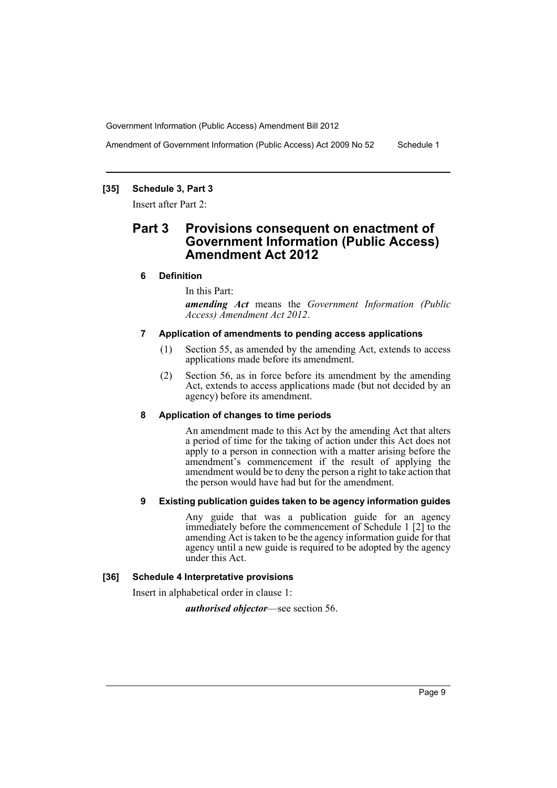Amendment of Government Information (Public Access) Act 2009 No 52 Schedule 1

# **[35] Schedule 3, Part 3**

Insert after Part 2:

# **Part 3 Provisions consequent on enactment of Government Information (Public Access) Amendment Act 2012**

# **6 Definition**

In this Part:

*amending Act* means the *Government Information (Public Access) Amendment Act 2012*.

#### **7 Application of amendments to pending access applications**

- (1) Section 55, as amended by the amending Act, extends to access applications made before its amendment.
- (2) Section 56, as in force before its amendment by the amending Act, extends to access applications made (but not decided by an agency) before its amendment.

#### **8 Application of changes to time periods**

An amendment made to this Act by the amending Act that alters a period of time for the taking of action under this Act does not apply to a person in connection with a matter arising before the amendment's commencement if the result of applying the amendment would be to deny the person a right to take action that the person would have had but for the amendment.

### **9 Existing publication guides taken to be agency information guides**

Any guide that was a publication guide for an agency immediately before the commencement of Schedule 1 [2] to the amending Act is taken to be the agency information guide for that agency until a new guide is required to be adopted by the agency under this Act.

#### **[36] Schedule 4 Interpretative provisions**

Insert in alphabetical order in clause 1:

*authorised objector*—see section 56.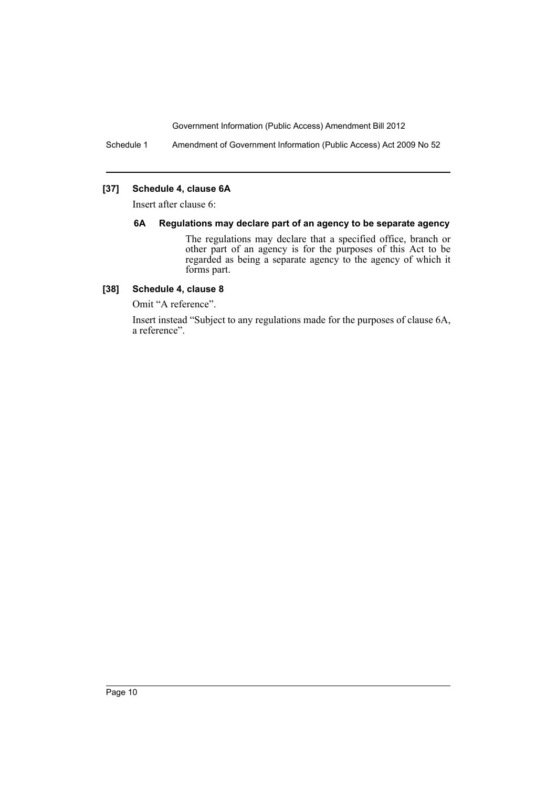Schedule 1 Amendment of Government Information (Public Access) Act 2009 No 52

# **[37] Schedule 4, clause 6A**

Insert after clause 6:

### **6A Regulations may declare part of an agency to be separate agency**

The regulations may declare that a specified office, branch or other part of an agency is for the purposes of this Act to be regarded as being a separate agency to the agency of which it forms part.

# **[38] Schedule 4, clause 8**

Omit "A reference".

Insert instead "Subject to any regulations made for the purposes of clause 6A, a reference".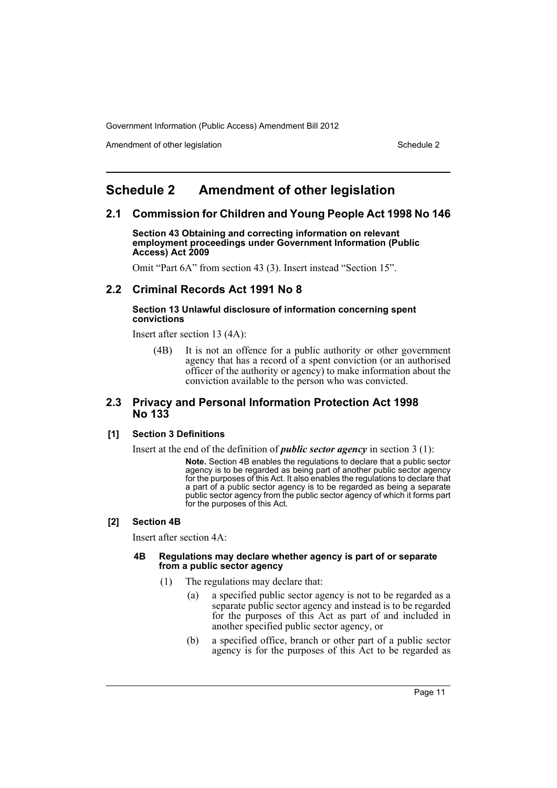Amendment of other legislation Schedule 2 and Schedule 2 and Schedule 2 and Schedule 2 and Schedule 2 and Schedule 2

# <span id="page-12-0"></span>**Schedule 2 Amendment of other legislation**

# **2.1 Commission for Children and Young People Act 1998 No 146**

**Section 43 Obtaining and correcting information on relevant employment proceedings under Government Information (Public Access) Act 2009**

Omit "Part 6A" from section 43 (3). Insert instead "Section 15".

# **2.2 Criminal Records Act 1991 No 8**

#### **Section 13 Unlawful disclosure of information concerning spent convictions**

Insert after section 13 (4A):

(4B) It is not an offence for a public authority or other government agency that has a record of a spent conviction (or an authorised officer of the authority or agency) to make information about the conviction available to the person who was convicted.

# **2.3 Privacy and Personal Information Protection Act 1998 No 133**

# **[1] Section 3 Definitions**

Insert at the end of the definition of *public sector agency* in section 3 (1):

**Note.** Section 4B enables the regulations to declare that a public sector agency is to be regarded as being part of another public sector agency for the purposes of this Act. It also enables the regulations to declare that a part of a public sector agency is to be regarded as being a separate public sector agency from the public sector agency of which it forms part for the purposes of this Act.

# **[2] Section 4B**

Insert after section 4A:

#### **4B Regulations may declare whether agency is part of or separate from a public sector agency**

- (1) The regulations may declare that:
	- (a) a specified public sector agency is not to be regarded as a separate public sector agency and instead is to be regarded for the purposes of this Act as part of and included in another specified public sector agency, or
	- (b) a specified office, branch or other part of a public sector agency is for the purposes of this Act to be regarded as